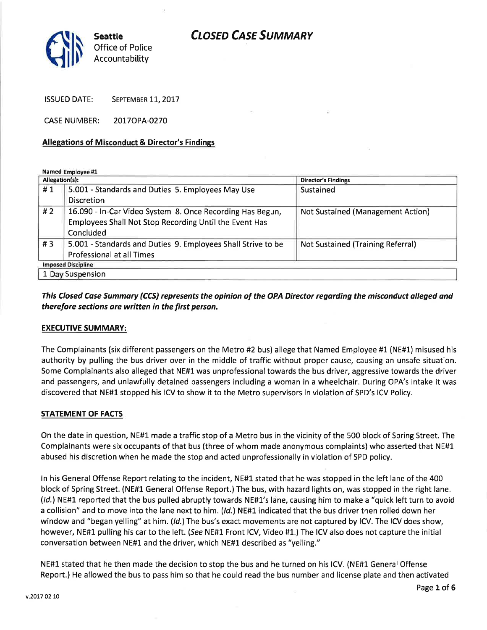

ISSUED DATE: SEPTEMBER 11, 2017

CASE NUMBER: 2077OPA-027O

#### Allegations of Misconduct & Director's Findings

Named Employee #1

| Allegation(s):            |                                                              | <b>Director's Findings</b>        |
|---------------------------|--------------------------------------------------------------|-----------------------------------|
| #1                        | 5.001 - Standards and Duties 5. Employees May Use            | Sustained                         |
|                           | <b>Discretion</b>                                            |                                   |
| #2                        | 16.090 - In-Car Video System 8. Once Recording Has Begun,    | Not Sustained (Management Action) |
|                           | Employees Shall Not Stop Recording Until the Event Has       |                                   |
|                           | <b>Concluded</b>                                             |                                   |
| #3                        | 5.001 - Standards and Duties 9. Employees Shall Strive to be | Not Sustained (Training Referral) |
|                           | Professional at all Times                                    |                                   |
| <b>Imposed Discipline</b> |                                                              |                                   |
| 1 Day Suspension          |                                                              |                                   |

### This Closed Case Summary (CCS) represents the opinion of the OPA Director regarding the misconduct alleged and therefore sections are written in the first person.

#### EXECUTIVE SUMMARY:

The Complainants (six different passengers on the Metro #2 bus) allege that Named Employee #1 (NE#1) misused his authority by pulling the bus driver over in the middle of traffic without proper cause, causing an unsafe situation. Some Complainants also alleged that NE#1 was unprofessional towards the bus driver, aggressive towards the driver and passengers, and unlawfully detained passengers including a woman in a wheelchair. During OPA's intake it was discovered that NE#1 stopped his ICV to show it to the Metro supervisors in violation of SPD's ICV Policy.

#### STATEMENT OF FACTS

On the date in question, NE#L made a traffic stop of a Metro bus in the vicinity of the 500 block of Spring Street. The Complainants were six occupants of that bus (three of whom made anonymous complaints) who asserted that NE#1 abused his discretion when he made the stop and acted unprofessionally in violation of SPD policy.

ln his General Offense Report relating to the incident, NE#1 stated that he was stopped in the left lane of the 400 block of Spring Street. (NE#1 General Offense Report.) The bus, with hazard lights on, was stopped in the right lane. (/d.) NE#1 reported that the bus pulled abruptly towards NE#1's lane, causing him to make a "quick left turn to avoid a collision" and to move into the lane next to him. (Id.) NE#1 indicated that the bus driver then rolled down her window and "began yelling" at him. (Id.) The bus's exact movements are not captured by ICV. The ICV does show, however, NE#1 pulling his car to the left. (See NE#1 Front lCV, Video #1.) The ICV also does not capture the initial conversation between NE#L and the driver, which NE#l described as "yelling."

NE#1 stated that he then made the decision to stop the bus and he turned on his lCV. (NE#1 General Offense Report.) He allowed the bus to pass him so that he could read the bus number and license plate and then activated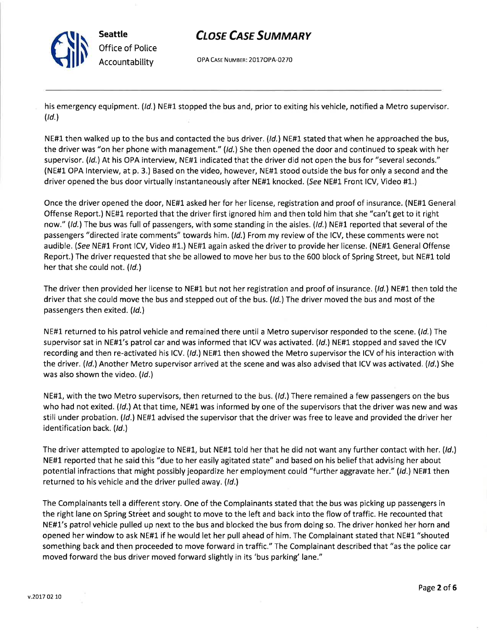

OPA CASE NUMBER: 2017OPA-0270

his emergency equipment. (Id.) NE#1 stopped the bus and, prior to exiting his vehicle, notified a Metro supervisor.  $\left(\mathcal{U}\right)$ 

NE#1 then walked up to the bus and contacted the bus driver. ( $\frac{Id}{I}$ ) NE#1 stated that when he approached the bus, the driver was "on her phone with management." (Id.) She then opened the door and continued to speak with her supervisor. (Id.) At his OPA interview, NE#1 indicated that the driver did not open the bus for "several seconds." (NE#1 OPA lnterview, at p. 3.) Based on the video, however, NE#1 stood outside the bus for only a second and the driver opened the bus door virtually instantaneously after NE#1 knocked. (See NE#L Front lCV, Video #1.)

Once the driver opened the door, NE#L asked her for her license, registration and proof of insurance. (NE#l General Offense Report.) NE#L reported that the driver first ignored him and then told him that she "can't get to it right now." (Id.) The bus was full of passengers, with some standing in the aisles. (Id.) NE#1 reported that several of the passengers "directed irate comments" towards him. (Id.) From my review of the ICV, these comments were not audible. (See NE#1 Front ICV, Video #1.) NE#1 again asked the driver to provide her license. (NE#1 General Offense Report.) The driver requested that she be allowed to move her bus to the 600 block of Spring Street, but NE#1 told her that she could not. (Id.)

The driver then provided her license to NE#1 but not her registration and proof of insurance. (Id.) NE#1 then told the driver that she could move the bus and stepped out of the bus. (*Id.*) The driver moved the bus and most of the passengers then exited. (Id.)

NE#1 returned to his patrol vehicle and remained there until a Metro supervisor responded to the scene. (Id.) The supervisor sat in NE#1's patrol car and was informed that ICV was activated. (/d,) NE#1 stopped and saved the ICV recording and then re-activated his ICV. (Id.) NE#1 then showed the Metro supervisor the ICV of his interaction with the driver. (Id.) Another Metro supervisor arrived at the scene and was also advised that ICV was activated. (Id.) She was also shown the video.  $(Id.)$ 

NE#1, with the two Metro supervisors, then returned to the bus. (Id.) There remained a few passengers on the bus who had not exited. (Id.) At that time, NE#1 was informed by one of the supervisors that the driver was new and was still under probation. (Id.) NE#1 advised the supervisor that the driver was free to leave and provided the driver her identification back. (Id.)

The driver attempted to apologize to NE#1, but NE#1 told her that he did not want any further contact with her. (Id.) NE#1 reported that he said this "due to her easily agitated state" and based on his belief that advising her about potential infractions that might possibly jeopardize her employment could "further aggravate her." (Id.) NE#1 then returned to his vehicle and the driver pulled away. (Id.)

The Complainants tell a different story. One of the Complainants stated that the bus was picking up passengers in the right lane on Spring Street and sought to move to the left and back into the flow of traffic. He recounted that NE#1's patrol vehicle pulled up next to the bus and blocked the bus from doing so. The driver honked her horn and opened her window to ask NE#1 if he would let her pull ahead of him. The Complainant stated that NE#1 "shouted something back and then proceeded to move forward in traffic." The Complainant described that "as the police car moved forward the bus driver moved forward slightly in its 'bus parking' lane."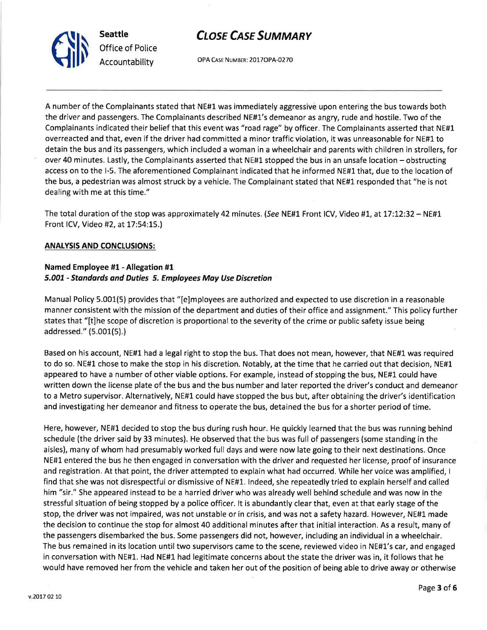

OPA CASE NUMBER: 2017OPA-0270

A number of the Complainants stated that NE#1 was immediately aggressive upon entering the bus towards both the driver and passengers. The Complainants described NE#1's demeanor as angry, rude and hostile. Two of the Complainants indicated their belief that this event was "toad tage" by officer. The Complainants asserted that NE#1 overreacted and that, even if the driver had committed a minor traffic violation, it was unreasonable for NE#1 to detain the bus and its passengers, which included a woman in a wheelchair and parents with children in strollers, for over 40 minutes. Lastly, the Complainants asserted that NE#L stopped the bus in an unsafe location - obstructing access on to the l-5. The aforementioned Complainant indicated that he informed NE#1that, due to the location of the bus, a pedestrian was almost struck by a vehicle. The Complainant stated that NE#1 responded that "he is not dealing with me at this time."

The total duration of the stop was approximately 42 minutes. (See NE#1 Front ICV, Video #1, at 17:12:32 – NE#1 Front lCV, Video #2, at L7:54:15.)

#### ANATYSIS AND CONCLUSIONS:

#### Named Employee #1 - Allegation #1 5.007 - Stondords dnd Duties 5. Employees May Use Discretion

Manual Policy 5.001(5) provides that "[e]mployees are authorized and expected to use discretion in a reasonable manner consistent with the mission of the department and duties of their office and assignment." This policy further states that "[t]he scope of discretion is proportional to the severity of the crime or public safety issue being addressed." (5.001(5).)

Based on his account, NE#1 had a legal right to stop the bus. That does not mean, however, that NE#1 was required to do so. NE#L chose to make the stop in his discretion. Notably, at the time that he carried out that decision, NE#L appeared to have a number of other viable options. For example, instead of stopping the bus, NE#L could have written down the license plate of the bus and the bus number and later reported the driver's conduct and demeanor to a Metro supervisor. Alternatively, NE#1 could have stopped the bus but, after obtaining the driver's identification and investigating her demeanor and fitness to operate the bus, detained the bus for a shorter period of time.

Here, however, NE#1 decided to stop the bus during rush hour. He quickly learned that the bus was running behind schedule (the driver said by 33 minutes). He observed that the bus was full of passengers (some standing in the aisles), many of whom had presumably worked full days and were now late going to their next destinations. Once NE#L entered the bus he then engaged in conversation with the driver and requested her license, proof of insurance and registration. At that point, the driver attempted to explain what had occurred. While her voice was amplified, <sup>I</sup> find that she was not disrespectful or dismissive of NE#1. lndeed, she repeatedly tried to explain herself and called him "sir." She appeared instead to be a harried driver who was already well behind schedule and was now in the stressful situation of being stopped by a police officer. lt is abundantly clear that, even at that early stage of the stop, the driver was not impaired, was not unstable or in crisis, and was not a safety hazard. However, NE#1 made the decision to continue the stop for almost 40 additional minutes after that initial interaction. As a result, many of the passengers disembarked the bus. Some passengers did not, however, including an individual in a wheelchair. The bus remained in its location until two supervisors came to the scene, reviewed video in NE#1's car, and engaged in conversation with NE#1. Had NE#l had legitimate concerns about the state the driver was in, it follows that he would have removed her from the vehicle and taken her out of the position of being able to drive away or otherwise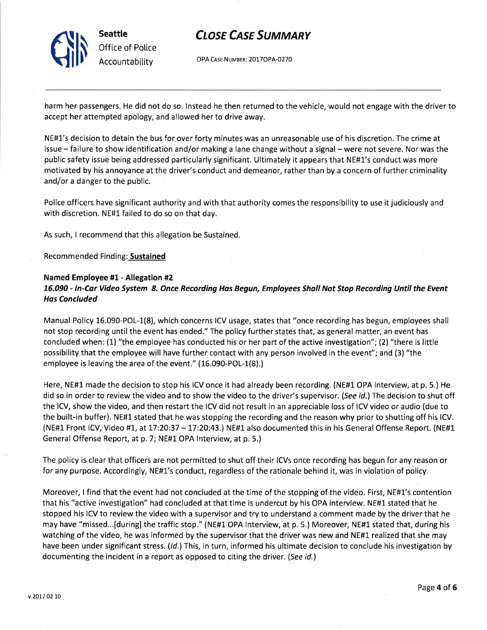

OPA Case NUMBER: 2OITOPA-0270

harm her passengers. He did not do so. lnstead he then returned to the vehicle, would not engage with the driver to accept her attempted apology, and allowed her to drive away.

NE#1's decision to detain the bus for over forty minutes was an unreasonable use of his discretion. The crime at issue – failure to show identification and/or making a lane change without a signal – were not severe. Nor was the public safety issue being addressed particularly significant. Ultimately it appears that NE#1's conduct was more motivated by his annoyance at the driver's conduct and demeanor, rather than by a concern of further criminality and/or a danger to the public.

Police officers have significant authority and with that authority comes the responsibility to use it judiciously and with discretion. NE#1 failed to do so on that day.

As such, I recommend that this allegation be Sustained.

#### Recommended Finding: Sustained

#### Named Employee #1- Allegation #2 16.090 - In-Car Video System 8. Once Recording Has Begun, Employees Shall Not Stop Recording Until the Event Has Concluded

Manual Policy 16.090-POL-1(8), which concerns ICV usage, states that "once recording has begun, employees shall not stop recording until the event has ended." The policy further states that, as general matter, an event has concluded when: (1) "the employee has conducted his or her part of the active investigation"; (2\ "there is little possibility that the employee will have further contact with any person involved in the event"; and (3) "the employee is leaving the area of the event." (16.090-POL-1(8).)

Here, NE#1 made the decision to stop his ICV once it had already been recording. (NE#1 OPA lnterview, at p. 5.) He did so in order to review the video and to show the video to the driver's supervisor. (See id.) The decision to shut off the lCV, show the video, and then restart the ICV did not result in an appreciable loss of ICV video or audio (due to the built-in buffer). NE#1 stated that he was stopping the recording and the reason why prior to shutting off his lCV. (NE#1 Front ICV, Video #1, at 17:20:37 - 17:20:43.) NE#1 also documented this in his General Offense Report. (NE#1 General Offense Report, at p. 7; NE#1 OPA Interview, at p. 5.)

The policy is clearthat officers are not permitted to shut off their lCVs once recording has begun for any reason or for any purpose. Accordingly, NE#L's conduct, regardless of the rationale behind it, was in violation of policy.

Moreover, I find that the event had not concluded at the time of the stopping of the video. First, NE#L's contention that his "active investigation" had concluded at that time is undercut by his OPA interview. NE#1 stated that he stopped his ICV to review the video with a supervisor and try to understand a comment made by the driver that he may have "missed...[during] the traffic stop." (NE#1 OPA Interview, at p. 5.) Moreover, NE#1 stated that, during his watching of the video, he was informed by the supervisor that the driver was new and NE#L realized that she may have been under significant stress. (Id.) This, in turn, informed his ultimate decision to conclude his investigation by documenting the incident in a report as opposed to citing the driver. (See id.)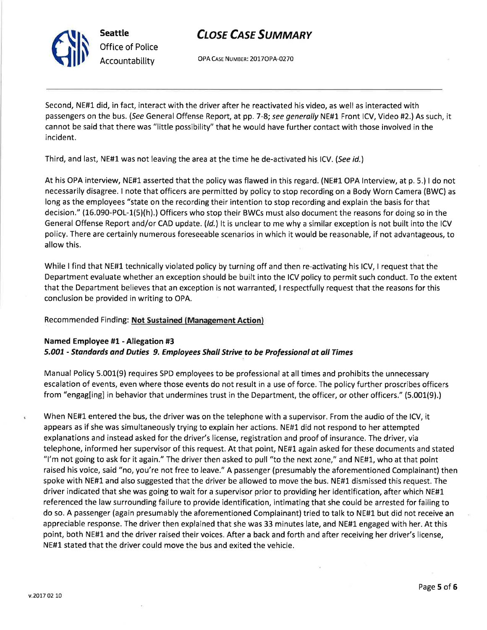Seattle Office of Police Accountability

# **CLOSE CASE SUMMARY**

OPA CASE NUMBER: 2017OPA-0270

Second, NE#1 did, in fact, interact with the driver after he reactivated his video, as well as interacted with passengers on the bus. (See General Offense Report, at pp. 7-8; see generally NE#1 Front ICV, Video #2.) As such, it cannot be said that there was "little possibility" that he would have further contact with those involved in the incident.

Third, and last, NE#1 was not leaving the area at the time he de-activated his ICV. (See id.)

At his OPA interview, NE#1 asserted that the policy was flawed in this regard. (NE#1- OPA lnterview, at p. 5.) I do not necessarily disagree. I note that officers are permitted by policy to stop recording on a Body Worn Camera (BWC) as long as the employees "state on the recording their intention to stop recording and explain the basis for that decision."  $(16.090 - POL-1(5)(h)$ .) Officers who stop their BWCs must also document the reasons for doing so in the General Offense Report and/or CAD update.  $(id.)$  It is unclear to me why a similar exception is not built into the ICV policy. There are certainly numerous foreseeable scenarios in which it would be reasonable, if not advantageous, to allow this.

While I find that NE#1 technically violated policy by turning off and then re-activating his ICV, I request that the Department evaluate whether an exception should be built into the ICV policy to permit such conduct. To the extent that the Department believes that an exception is not warranted, I respectfully request that the reasons for this conclusion be provided in writing to OPA.

Recommended Finding: Not Sustained (Management Action)

### Named Employee #1 - Allegation #3 5.001 - Standards and Duties 9. Employees Shall Strive to be Professional at all Times

Manual Policy 5.001(9) requires SPD employees to be professional at all times and prohibits the unnecessary escalation of events, even where those events do not result in a use of force. The policy further proscribes officers from "engag[ingj in behavior that undermines trust in the Department, the officer, or other officers," (5.001(9).)

When NE#1 entered the bus, the driver was on the telephone with a supervisor. From the audio of the ICV, it appears as if she was simultaneously trying to explain her actions. NE#1 did not respond to her attempted explanations and instead asked for the driver's license, registration and proof of insurance. The driver, via telephone, informed her supervisor of this request. At that point, NE#L again asked for these documents and stated "l'm not going to ask for it again." The driver then asked to pull "to the next zone," and NE#1, who at that point raised his voice, said "no, you're not free to leave." A passenger (presumably the aforementioned Complainant) then spoke with NE#1 and also suggested that the driver be allowed to move the bus. NE#L dismissed this request. The driver indicated that she was going to wait for a supervisor prior to providing her identification, after which NE#1 referenced the law surrounding failure to provide identification, intimating that she could be arrested for failing to do so. A passenger (again presumably the aforementioned Complainant) tried to talk to NE#1 but did not receive an appreciable response. The driver then explained that she was 33 minutes late, and NE#L engaged with her. At this point, both NE#1 and the driver raised their voices. After a back and forth and after receiving her driver's license, NE#L stated that the driver could move the bus and exited the vehicle.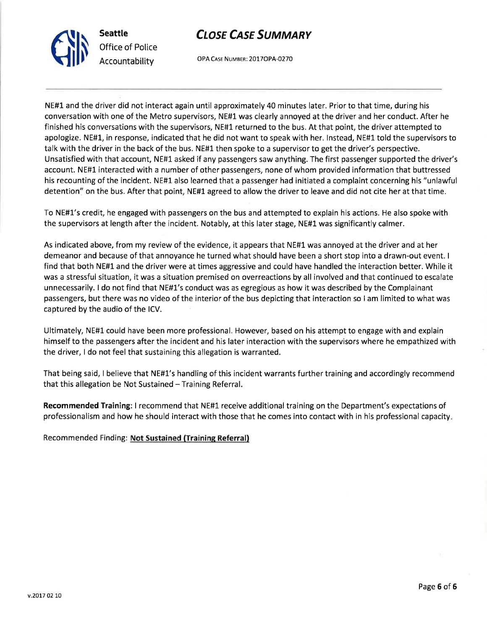

OPA CASE NUMBER: 2017OPA-0270

NE#1 and the driver did not interact again until approximately 40 minutes later. Prior to that time, during his conversation with one of the Metro supervisors, NE#1 was clearly annoyed at the driver and her conduct. After he finished his conversations with the supervisors, NE#1 returned to the bus. At that point, the driver attempted to apologize. NE#L, in response, indicated that he did not want to speak with her, lnstead, NE#1 told the supervisors to talk with the driver in the back of the bus. NE#L then spoke to a supervisor to get the driver's perspective. Unsatisfied with that account, NE#L asked if any passengers saw anything. The first passenger supported the driver's account. NE#L interacted with a number of other passengers, none of whom provided information that buttressed his recounting of the incident. NE#1 also learned that a passenger had initiated a complaint concerning his "unlawful detention" on the bus. After that point, NE#L agreed to allow the driver to leave and did not cite her at that time.

To NE#1's credit, he engaged with passengers on the bus and attempted to explain his actions. He also spoke with the supervisors at length after the incident. Notably, at this later stage, NE#1 was significantly calmer.

As indicated above, from my review of the evidence, it appears that NE#1 was annoyed at the driver and at her demeanor and because of that annoyance he turned what should have been a short stop into a drawn-out event. <sup>I</sup> find that both NE#l and the driver were at times aggressive and could have handled the interaction better. While it was a stressful situation, it was a situation premised on overreactions by all involved and that continued to escalate unnecessarily. I do not find that NE#L's conduct was as egregious as how it was described by the Complainant passengers, but there was no video of the interior of the bus depicting that interaction so I am limited to what was captured by the audio of the lCV.

Ultimately, NE#1. could have been more professional. However, based on his attempt to engage with and explain himself to the passengers after the incident and his later interaction with the supervisors where he empathized with the driver, I do not feel that sustaining this allegation is warranted.

That being said, I believe that NE#1's handling of this incident warrants further training and accordingly recommend that this allegation be Not Sustained  $-$  Training Referral.

Recommended Training: I recommend that NE#1 receive additional training on the Department's expectations of professionalism and how he should interact with those that he comes into contact with in his professional capacity

Recommended Finding: Not Sustained (Training Referral)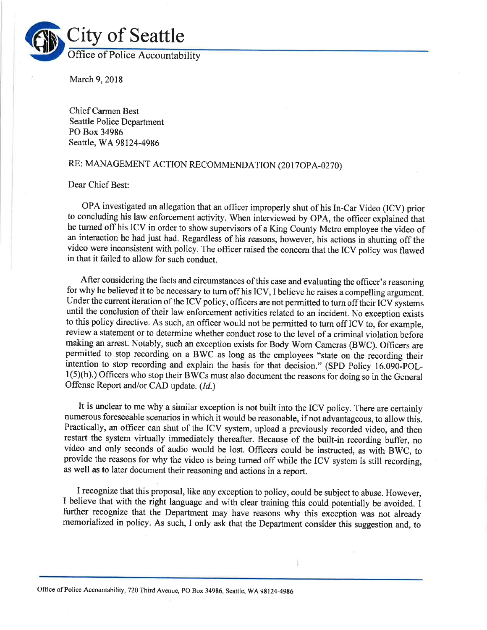

March 9,2018

Chief Carmen Best Seattle Police Department PO Box 34986 Seattle, WA98124-4986

### RE: MANAGEMENT ACTION RECOMMENDATION (2017OPA-0270)

Dear Chief Best:

OPA investigated an allegation that an officer improperly shut of his In-Car Video (ICV) prior to concluding his law enforcement activity. When interviewed by OPA, the officer explained that he turned off his ICV in order to show supervisors of a King County Metro employee the video of an interaction he had just had. Regardless of his reasons, however, his actions in shutting off the video were inconsistent with policy. The officer raised the concern that the ICV policy was flawed in that it failed to allow for such conduct.

After considering the facts and circumstances of this case and evaluating the officer's reasoning for why he believed it to be necessary to turn off his ICV, I believe he raises a compelling argument. Under the current iteration of the ICV policy, officers are not permitted to turn off their ICV systems until the conclusion of their law enforcement activities related to an incident. No exception exists to this policy directive. As such, an officer would not be permitted to tum off ICV to, for example, review a statement or to determine whether conduct rose to the level of a criminal violation before making an arrest. Notably, such an exception exists for Body Worn Cameras (BWC). Officers are permitted to stop recording on a BWC as long as the employees "state on the recording their intention to stop recording and explain the basis for that decision." (SPD Policy  $16.090 - POL$  $l(5)(h)$ .) Officers who stop their BWCs must also document the reasons for doing so in the General Offense Report and/or CAD update. (Id.)

It is unclear to me why a similar exception is not built into the ICV policy. There are certainly numerous foreseeable scenarios in which it would be reasonable, if not advantageous, to allow this. Practically, an officer can shut of the ICV system, upload a previously recorded video, and then restart the system virtually immediately thereafter. Because of the built-in recording buffer, no video and only seconds of audio would be lost. Officers could be instructed, as with BWC, to providc the reasons for why the video is being turned off while the ICV system is still recording, as well as to later document their reasoning and actions in a report.

I recognize that this proposal, like any exception to policy, could be subject to abuse. However, I believe that with the right language and with clear training this could potentially be avoided. I further recognize that the Department may have reasons why this exception was not already memorialized in policy. As such, I only ask that the Department consider this suggestion and, to